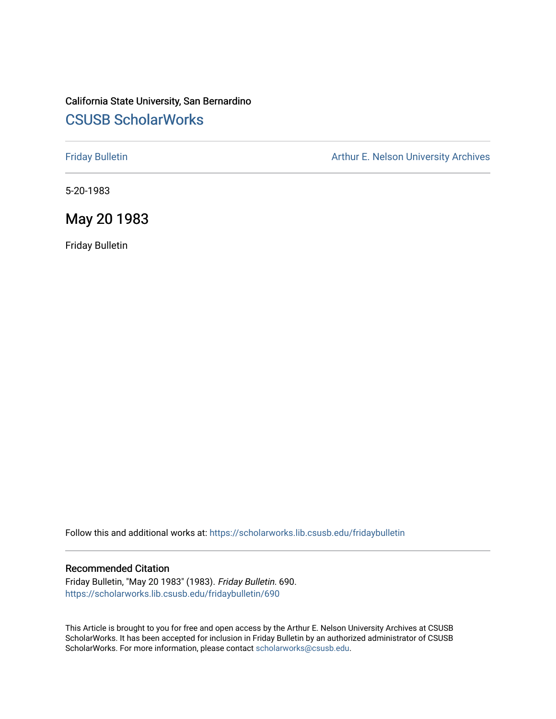# California State University, San Bernardino [CSUSB ScholarWorks](https://scholarworks.lib.csusb.edu/)

[Friday Bulletin](https://scholarworks.lib.csusb.edu/fridaybulletin) **Arthur E. Nelson University Archives** Arthur E. Nelson University Archives

5-20-1983

# May 20 1983

Friday Bulletin

Follow this and additional works at: [https://scholarworks.lib.csusb.edu/fridaybulletin](https://scholarworks.lib.csusb.edu/fridaybulletin?utm_source=scholarworks.lib.csusb.edu%2Ffridaybulletin%2F690&utm_medium=PDF&utm_campaign=PDFCoverPages)

### Recommended Citation

Friday Bulletin, "May 20 1983" (1983). Friday Bulletin. 690. [https://scholarworks.lib.csusb.edu/fridaybulletin/690](https://scholarworks.lib.csusb.edu/fridaybulletin/690?utm_source=scholarworks.lib.csusb.edu%2Ffridaybulletin%2F690&utm_medium=PDF&utm_campaign=PDFCoverPages)

This Article is brought to you for free and open access by the Arthur E. Nelson University Archives at CSUSB ScholarWorks. It has been accepted for inclusion in Friday Bulletin by an authorized administrator of CSUSB ScholarWorks. For more information, please contact [scholarworks@csusb.edu.](mailto:scholarworks@csusb.edu)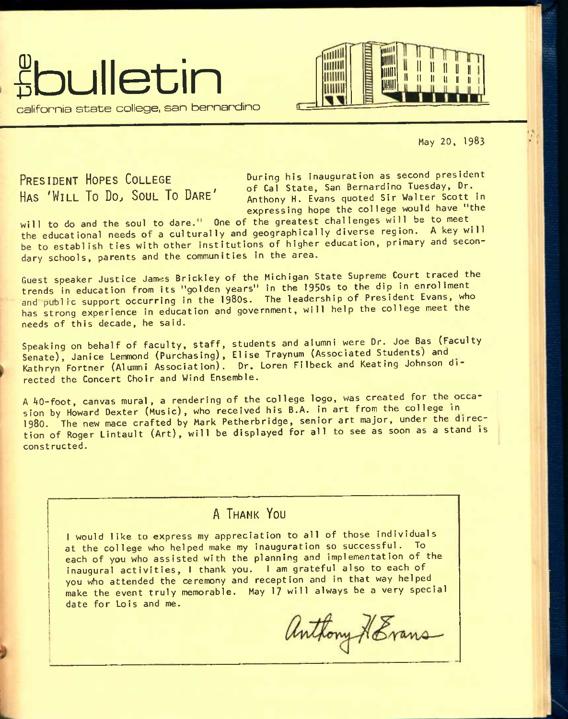



May 20, I983

**PRESIDENT HOPES COLLEGE HAS 'WILL TO DO^ SOUL TO DARE'** 

During his inauguration as second president of Cal State, San Bernardino Tuesday, Dr. Anthony H. Evans quoted Sir Walter Scott in expressing hope the college would have "the

will to do and the soul to dare." One of the greatest challenges will be to meet the educational needs of a culturally and geographically diverse region. A key will be to establish ties with other institutions of higher education, primary and secondary schools, parents and the communities in the area.

Guest speaker Justice James Brickley of the Michigan State Supreme Court traced the trends in education from its "golden years" in the 1950s to the dip in enrollment and public support occurring in the 1980s. The leadership of President Evans, who has strong experience in education and government, will help the college meet the needs of this decade, he said.

Speaking on behalf of faculty, staff, students and alumni were Dr. Joe Bas (Faculty Senate), Janice Lemmond (Purchasing), Elise Traynum (Associated Students) and Kathryn Fortner (Alumni Association). Dr. Loren Filbeck and Keating Johnson directed the Concert Choir and Wind Ensemble.

A 40-foot, canvas mural, a rendering of the college logo, was created for the occasion by Howard Dexter (Music), who received his B.A. in art from the college in **1980.** The new mace crafted by Mark Petherbridge, senior art major, under the direction of Roger Lintault (Art), will be displayed for all to see as soon as a stand is const ructed.

# **A THANK YOU**

I would like to express my appreciation to all of those individuals at the college who helped make my inauguration so successful. To each of you who assisted with the planning and implementation of the inaugural activities, I thank you. I am grateful also to each of you who attended the ceremony and reception and in that way helped^ make the event truly memorable. May 17 will always be a very special date for Lois and me.

Anthony HEvans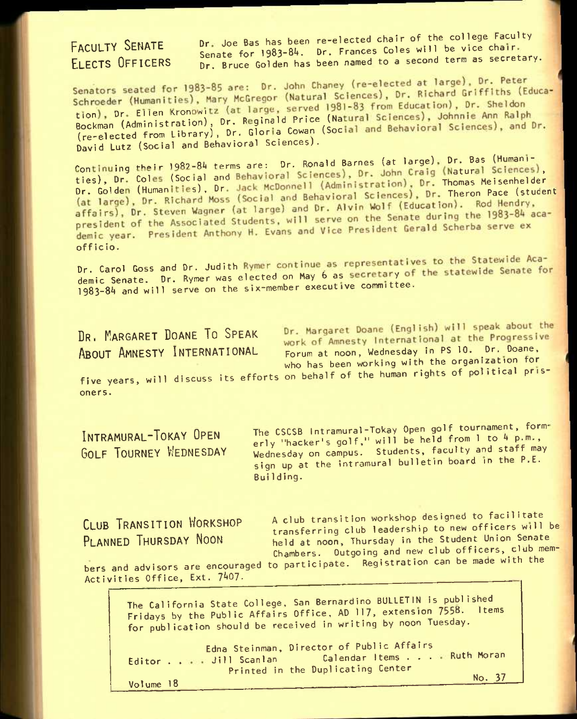**FACULTY SENATE ELECTS OFFICERS**  Dr. Joe Bas has been re-elected chair of the college Faculty Senate for 1983-84. Dr. Frances Coles will be vice chair. Dr. Bruce Golden has been named to a second term as secretary.

Senators seated for 1983-85 are: Dr. John Chaney (re-elected at large), Dr. Peter Schroeder (Humanities), Mary McGregor (Natural Sciences), Dr. Richard Griffiths (Education), Dr. Ellen Kronowitz (at large, served 1981–83 from Education), Dr. Sheldon<br>Bockman (Administration), Dr. Reginald Price (Natural David Lutz (Social and Behavioral Sciences).

Continuing their 1982-84 terms are: Dr. Ronald Barnes (at large), Dr. Bas (Humanities), Dr. Coles (Social and Behavioral Sciences), Dr. John Craig (Natural Sciences), Dr. Golden (Humanities), Dr. Jack McDonnell (Administration), Dr. Thomas Meisenhelder<br>(at large), Dr. Richard Moss (Social and Behaviora affairs), Dr. Steven Wagner (at large) and Ur. Alvin World (Essextent)<br>president of the Associated Students, will serve on the Senate during the 1983-84 academic year. President Anthony H. Evans and Vice President Gerald Scherba serve ex<br>officio.

Dr. Carol Goss and Dr. Judith Rymer continue as representatives to the Statewide Academic Senate. Dr. Rymer was elected on May 6 as secretary of the statewide Senate for 1983-84 and will serve on the six-member executive committee.

**DR. MARGARET DOANE TO SPEAK**<br>**ABOUT AMNESTY INTERNATIONAL** 

Dr. Margaret Doane (English) will speak about the Work of Amnesty International at the Progressive<br>Forum at noon, Wednesday in PS 10. Dr. Doane, who has been working with the organization for

five years, will discuss its efforts on behalf of the human rights of political prisoners.

**INTRAMURAL-TOKAY OPEN GOLF TOURNEY WEDNESDAY**  The CSCSB Intramural-Tokay Open golf tournament, formerly "hacker's golf," will be held from 1 to 4 p.m., Wednesday on campus. Students, faculty and staff may sign up at the intramural bulletin board in the P.E. BuiIding.

**CLUB TRANSITION WORKSHOP PLANNED THURSDAY NOON** 

A club transition workshop designed to facilitate transferring club leadership to new officers will be held at noon, Thursday in the Student Union Senate Chambers. Outgoing and new club officers, club members and advisors are encouraged to participate. Registration can be made with the

Activities Office, Ext. 7407.

The California State College. San Bernardino BULLETIN is published Fridays by the Public Affairs Office, AD 117, extension 7558. items for publication should be received in writing by noon Tuesday.

Editor . . Jill Scan Ian Edna Steinman, Director of Public Affairs Printed in the Duplicating Center Calendar Items . . . Ruth Moran No. 37

Volume 18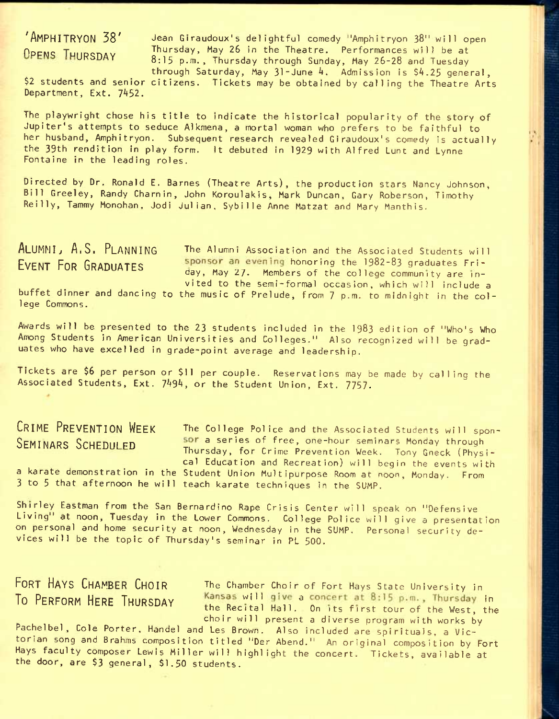'Amphitryon 38' Jean Glraudoux's delightful comedy "Amphitryon 38" will open **OPENS THURSDAY** Thursday, May 26 in the Theatre. Performances will be at 8:15 p.m., Thursday through Sunday, May 26-28 and Tuesday through Saturday, May 31-June 4. Admission is \$4.25 general,

\$2 students and senior citizens. Tickets may be obtained by calling the Theatre Arts Department, Ext. 7452.

The playwright chose his title to indicate the historical popularity of the story of Jupiter's attempts to seduce Alkmena, a mortal woman who prefers to be faithful to her husband, Amphitryon. Subsequent research revealed Giraudoux's comedy is actually the 39th rendition in play form. It debuted in 1929 with Alfred Lunt and Lynne Fontaine in the leading roles.

Directed by Dr. Ronald E. Barnes (Theatre Arts), the production stars Nancy Johnson, Bill Greeley, Randy Charnin, John Koroulakis, Mark Duncan, Gary Roberson, Timothy Rei11y, Tammy Monohan, Jodi Julian, Sybille Anne Matzat and Mary Manthis.

ALUMNI, A.S. PLANNING The Alumni Association and the Associated Students will<br>EVENT FOR GRADUATES sponsor an evening honoring the 1982-83 graduates Fri-**EXECUTE:** EVENT FOR THE PORTION OF THE POST OF THE SPONSOF SPIday, May **27.** Members of the college community are invited to the semi-formal occasion, which will include a

buffet dinner and dancing to the music of Prelude, from 7 p.m. to midnight in the college Commons.

Awards will be presented to the 23 students included in the **I983** edition of "Who's Who Among Students In American Universities and Colleges." Also recognized will be graduates who have excelled in grade-point average and leadership.

Tickets are \$6 per person or \$11 per couple. Reservations may be made by calling the Associated Students, Ext. 7494, or the Student Union, Ext. 7757.

CRIME PREVENTION WEEK The College Police and the Associated Students will spon-SEMINARS SCHEDULFD **SOF a series of free, one-hour seminars Monday through** Thursday, for Crime Prevention Week. Tony Gneck (Physical Education and Recreation) will begin the events with a karate demonstration in the Student Union Multipurpose Room at noon, Monday. From 3 to 5 that afternoon he will teach karate techniques in the SUMP.

Shirley Eastman from the San Bernardino Rape Crisis Center will speak on "Defensive Living<sup>"</sup> at noon, Tuesday in the Lower Commons. College Police will give a presentation on personal and home security at noon, Wednesday in the SUMP. Personal security devices will be the topic of Thursday's seminar in PL 500.

FORT HAYS CHAMBER CHOIR The Chamber Choir of Fort Hays State University in To PERFORM HERE THURSDAY **Kansas will give a concert at 8:15 p.m.**, Thursday in the Recital Hall. On its first tour of the West, the choir will present a diverse program with works by

Pachelbel, Cole Porter, Handel and Les Brown. Also included are spirituals, a Victorian song and Brahms composition titled "Der Abend." An original composition by Fort Hays faculty composer Lewis Miller will highlight the concert. Tickets, available at the door, are \$3 general, \$1,50 students.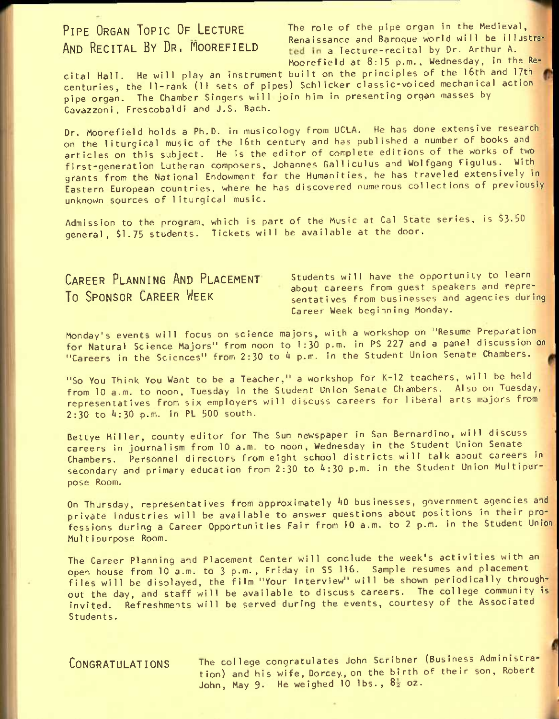PIPE ORGAN TOPIC OF LECTURE The role of the pipe organ in the Medieval, AND RECITAL BY DR. MOOREFIELD Renaissance and Baroque world will be illustra-<br>AND RECITAL BY DR. MOOREFIELD ted in a lecture-recital by Dr. Arthur A. ted in a lecture-recital by Dr. Arthur A. Moorefield at 8:15 p.m., Wednesday, in the Re-

cital Hall. He will play an instrument built on the principles of the I6th and 17th centuries, the 11-rank (11 sets of pipes) Schl tcker dassic-voiced mechanical action pipe organ. The Chamber Singers will join him in presenting organ masses by Cavazzoni, Frescobaldi and J.S. Bach.

Dr. Moorefield holds a Ph.D. in musicology from UCLA. He has done extensive research on the liturgical music of the l6th century and has published a number of books and articles on this subject. He is the editor of complete editions of the works of two first-generation Lutheran composers, Johannes Galliculus and Wolfgang Figulus. With grants from the National Endowment for the Humanities, he has traveled extensively in Eastern European countries, where he has discovered numerous collections of previously unknown sources of liturgical music.

Admission to the program, which is part of the Music at Ca1 State series, is \$3-50 general, \$1.75 students. Tickets will be available at the door.

CAREER PLANNING AND PLACEMENT Students will have the opportunity to learn **THE CONSOR CAREER WEEK** about careers from guest speakers and repre-<br>**TO SPONSOR CAREER WEEK** eentatives from businesses and agencies durin sentatives from businesses and agencies during Career Week beginning Monday.

Monday's events will focus on science majors, with a workshop on "Resume Preparation for Natural Science Majors" from noon to 1:30 p.m. in PS 227 and a panel discussion on "Careers in the Sciences" from  $2:30$  to  $4$  p.m. in the Student Union Senate Chambers.

"So You Think You Want to be a Teacher," a workshop for K-12 teachers, will be held from 10 a.m. to noon, Tuesday in the Student Union Senate Chambers. Also on Tuesday, representatives from six employers will discuss careers for liberal arts majors from 2:30 to 4:30 p.m. in PL 500 south.

Bettye Miller, county editor for The Sun newspaper in San Bernardino, will discuss careers in Journalism from 10 a.m. to noon, Wednesday in the Student Union Senate Chambers. Personnel directors from eight school districts will talk about careers in secondary and primary education from 2:30 to 4:30 p.m. in the Student Union Multipurpose Room.

On Thursday, representatives from approximately 40 businesses, government agencies and private industries will be available to answer questions about positions in their professions during a Career Opportunities Fair from 10 a.m. to 2 p.m. in the Student Union Multipurpose Room.

The Career Planning and Placement Center will conclude the week's activities with an open house from 10 a.m. to 3 p.m., Friday in S5 116. Sample resumes and placement files will be displayed, the film "Your Interview" will be shown periodically throughout the day, and staff will be available to discuss careers. The college community is invited. Refreshments will be served during the events, courtesy of the Associated Students.

**CONGRATULATIONS** The college congratulates John Scribner (Business Administration) and his wife, Dorcey, on the birth of their son, Robert John, May 9. He weighed 10 lbs.,  $8\frac{1}{2}$  oz.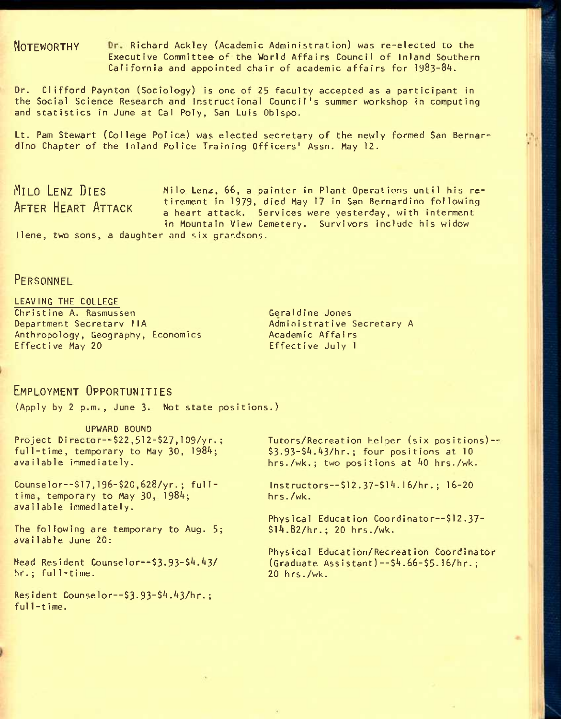**NOTEWORTHY** Richard Ackley (Academic Administration) was re-elected to the Executive Committee of the World Affairs Council of Inland Southern California and appointed chair of academic affairs for I983-8A.

Dr. Clifford Paynton (Sociology) is one of 25 faculty accepted as a participant in the Social Science Research and Instructional Council's summer workshop in computing and statistics in June at Cal Poly, San Luis Obispo.

Lt. Pam Stewart (College Police) was elected secretary of the newly formed San Bernardino Chapter of the Inland Police Training Officers' Assn. May 12.

**MILO LENZ DIES MIIO** lenz, 66, a painter in Plant Operations until his re-AFTER HEART ATTACK tirement in 1979, died May 17 in San Bernardino following a heart attack. Services were yesterday, with interment in Mountain View Cemetery. Survivors include his widow llene, two sons, a daughter and six grandsons.

### **PERSONNEL**

LEAVING THE COLLEGE Christine A. Rasmussen Department Secretary HA Anthropology, Geography, Economics Effective May 20

Geraldine Jones Administrative Secretary A Academic Affa i rs Effective July 1

## **EMPLOYMENT OPPORTUNITIES**

(Apply by 2 p.m., June 3. Not state positions.)

UPWARD BOUND Project Director--\$22,512-\$27,109/yr. ; full-time, temporary to May 30,  $1984$ ; available immediately.

Counselor--\$l7,196-\$20,628/yr. ; ful1 time, temporary to May 30, 1984; available immediately.

The following are temporary to Aug. 5; available June 20:

Head Resident Counselor—\$3.93-\$4.43/ hr.; ful1-time.

 $Resident$  Counselor--\$3.93-\$4.43/hr.; ful1-t ime.

Tutors/Recreation Helper (six positions)-- \$3.93-\$4.43/hr.; four positions at 10 hrs./wk.; two positions at 40 hrs./wk.

Inst ruetors--\$12.37~\$14.16/hr.; 16-20 hrs./wk.

Physical Education Coordinator--\$12.37-\$l4.82/hr.; 20 hrs./wk.

Physical Education/Recreation Coordinator (Graduate Assistant)--\$4.66-\$5-16/hr.; 20 hrs./wk.